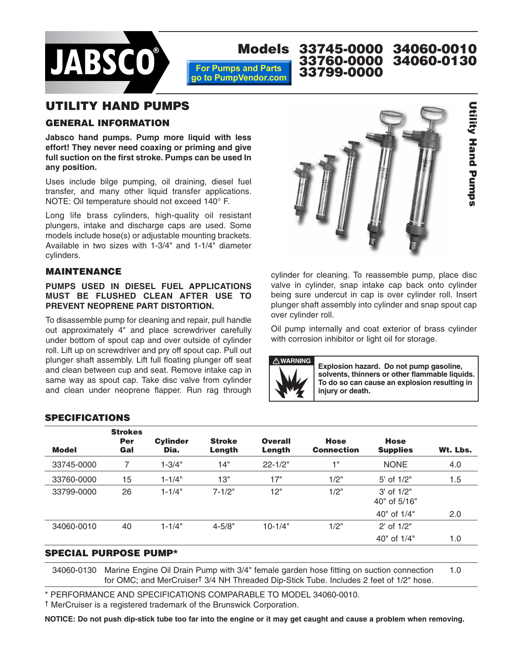

#### **Models 33745-0000 34060-0010 33760-0000 34060-0130 For Pumps and Parts 33799-0000 00000-0000**go to PumpVendor.com

## **UTILITY HAND PUMPS**

## **GENERAL INFORMATION**

**Jabsco hand pumps. Pump more liquid with less effort! They never need coaxing or priming and give full suction on the first stroke. Pumps can be used In any position.**

Uses include bilge pumping, oil draining, diesel fuel transfer, and many other liquid transfer applications. NOTE: Oil temperature should not exceed 140° F.

Long life brass cylinders, high-quality oil resistant plungers, intake and discharge caps are used. Some models include hose(s) or adjustable mounting brackets. Available in two sizes with 1-3/4" and 1-1/4" diameter cylinders.

#### **MAINTENANCE**

#### **PUMPS USED IN DIESEL FUEL APPLICATIONS MUST BE FLUSHED CLEAN AFTER USE TO PREVENT NEOPRENE PART DISTORTION.**

To disassemble pump for cleaning and repair, pull handle out approximately 4" and place screwdriver carefully under bottom of spout cap and over outside of cylinder roll. Lift up on screwdriver and pry off spout cap. Pull out plunger shaft assembly. Lift full floating plunger off seat and clean between cup and seat. Remove intake cap in same way as spout cap. Take disc valve from cylinder and clean under neoprene flapper. Run rag through



cylinder for cleaning. To reassemble pump, place disc valve in cylinder, snap intake cap back onto cylinder being sure undercut in cap is over cylinder roll. Insert plunger shaft assembly into cylinder and snap spout cap over cylinder roll.

Oil pump internally and coat exterior of brass cylinder with corrosion inhibitor or light oil for storage.



**Explosion hazard. Do not pump gasoline, solvents, thinners or other flammable liquids. To do so can cause an explosion resulting in injury or death.**

### **SPECIFICATIONS**

| <b>Model</b> | <b>Strokes</b><br><b>Per</b><br>Gal | <b>Cylinder</b><br>Dia. | <b>Stroke</b><br>Length | <b>Overall</b><br>Length | <b>Hose</b><br><b>Connection</b> | <b>Hose</b><br><b>Supplies</b> | Wt. Lbs. |
|--------------|-------------------------------------|-------------------------|-------------------------|--------------------------|----------------------------------|--------------------------------|----------|
| 33745-0000   | 7                                   | 1-3/4"                  | 14"                     | $22 - 1/2"$              | 1"                               | <b>NONE</b>                    | 4.0      |
| 33760-0000   | 15                                  | $1 - 1/4"$              | 13"                     | 17"                      | 1/2"                             | 5' of 1/2"                     | 1.5      |
| 33799-0000   | 26                                  | $1 - 1/4"$              | $7 - 1/2"$              | 12"                      | 1/2"                             | $3'$ of $1/2"$<br>40" of 5/16" |          |
|              |                                     |                         |                         |                          |                                  | 40" of 1/4"                    | 2.0      |
| 34060-0010   | 40                                  | $1 - 1/4"$              | $4 - 5/8"$              | $10 - 1/4"$              | 1/2"                             | $2'$ of $1/2"$                 |          |
|              |                                     |                         |                         |                          |                                  | 40" of 1/4"                    | 1.0      |

#### **SPECIAL PURPOSE PUMP\***

34060-0130 Marine Engine Oil Drain Pump with 3/4" female garden hose fitting on suction connection 1.0 for OMC; and MerCruiser† 3/4 NH Threaded Dip-Stick Tube. Includes 2 feet of 1/2" hose.

\* PERFORMANCE AND SPECIFICATIONS COMPARABLE TO MODEL 34060-0010.

† MerCruiser is a registered trademark of the Brunswick Corporation.

**NOTICE: Do not push dip-stick tube too far into the engine or it may get caught and cause a problem when removing.**